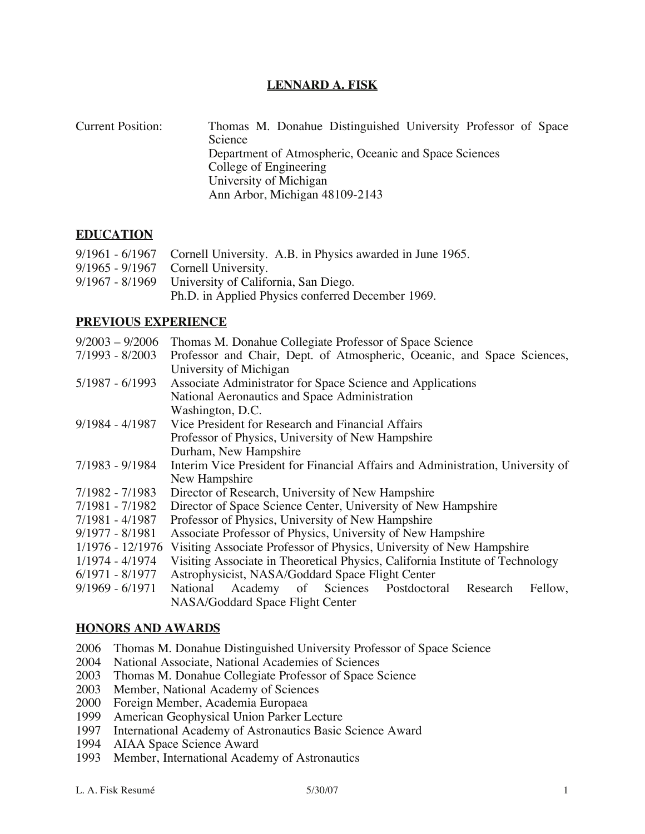# **LENNARD A. FISK**

Current Position: Thomas M. Donahue Distinguished University Professor of Space Science Department of Atmospheric, Oceanic and Space Sciences College of Engineering University of Michigan Ann Arbor, Michigan 48109-2143

# **EDUCATION**

| 9/1961 - 6/1967 Cornell University. A.B. in Physics awarded in June 1965. |
|---------------------------------------------------------------------------|
| $9/1965 - 9/1967$ Cornell University.                                     |
| 9/1967 - 8/1969 University of California, San Diego.                      |
| Ph.D. in Applied Physics conferred December 1969.                         |

# **PREVIOUS EXPERIENCE**

|                   | $9/2003 - 9/2006$ Thomas M. Donahue Collegiate Professor of Space Science             |
|-------------------|---------------------------------------------------------------------------------------|
| 7/1993 - 8/2003   | Professor and Chair, Dept. of Atmospheric, Oceanic, and Space Sciences,               |
|                   | University of Michigan                                                                |
| $5/1987 - 6/1993$ | Associate Administrator for Space Science and Applications                            |
|                   | National Aeronautics and Space Administration                                         |
|                   | Washington, D.C.                                                                      |
| $9/1984 - 4/1987$ | Vice President for Research and Financial Affairs                                     |
|                   | Professor of Physics, University of New Hampshire                                     |
|                   | Durham, New Hampshire                                                                 |
| 7/1983 - 9/1984   | Interim Vice President for Financial Affairs and Administration, University of        |
|                   | New Hampshire                                                                         |
| 7/1982 - 7/1983   | Director of Research, University of New Hampshire                                     |
| 7/1981 - 7/1982   | Director of Space Science Center, University of New Hampshire                         |
| 7/1981 - 4/1987   | Professor of Physics, University of New Hampshire                                     |
| $9/1977 - 8/1981$ | Associate Professor of Physics, University of New Hampshire                           |
|                   | 1/1976 - 12/1976 Visiting Associate Professor of Physics, University of New Hampshire |
| 1/1974 - 4/1974   | Visiting Associate in Theoretical Physics, California Institute of Technology         |
| $6/1971 - 8/1977$ | Astrophysicist, NASA/Goddard Space Flight Center                                      |
| $9/1969 - 6/1971$ | National Academy of Sciences Postdoctoral Research<br>Fellow,                         |
|                   | NASA/Goddard Space Flight Center                                                      |

# **HONORS AND AWARDS**

- 2006 Thomas M. Donahue Distinguished University Professor of Space Science
- 2004 National Associate, National Academies of Sciences
- 2003 Thomas M. Donahue Collegiate Professor of Space Science
- 2003 Member, National Academy of Sciences
- 2000 Foreign Member, Academia Europaea
- 1999 American Geophysical Union Parker Lecture<br>1997 International Academy of Astronautics Basic
- 1997 International Academy of Astronautics Basic Science Award<br>1994 AIAA Space Science Award
- AIAA Space Science Award
- 1993 Member, International Academy of Astronautics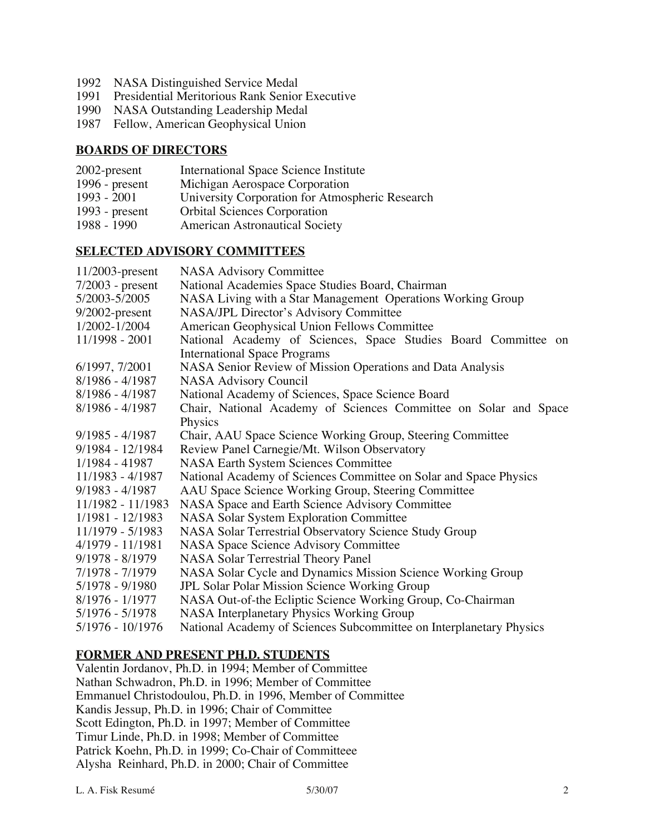- 1992 NASA Distinguished Service Medal
- 1991 Presidential Meritorious Rank Senior Executive
- 1990 NASA Outstanding Leadership Medal
- 1987 Fellow, American Geophysical Union

# **BOARDS OF DIRECTORS**

- 2002-present International Space Science Institute 1996 - present Michigan Aerospace Corporation<br>1993 - 2001 University Corporation for Atmos University Corporation for Atmospheric Research 1993 - present Crbital Sciences Corporation<br>1988 - 1990 American Astronautical Socie
- American Astronautical Society

# **SELECTED ADVISORY COMMITTEES**

| <b>NASA Advisory Committee</b>                                      |
|---------------------------------------------------------------------|
| National Academies Space Studies Board, Chairman                    |
| NASA Living with a Star Management Operations Working Group         |
| NASA/JPL Director's Advisory Committee                              |
| American Geophysical Union Fellows Committee                        |
| National Academy of Sciences, Space Studies Board Committee on      |
| <b>International Space Programs</b>                                 |
| NASA Senior Review of Mission Operations and Data Analysis          |
| <b>NASA Advisory Council</b>                                        |
| National Academy of Sciences, Space Science Board                   |
| Chair, National Academy of Sciences Committee on Solar and Space    |
| Physics                                                             |
| Chair, AAU Space Science Working Group, Steering Committee          |
| Review Panel Carnegie/Mt. Wilson Observatory                        |
| <b>NASA Earth System Sciences Committee</b>                         |
| National Academy of Sciences Committee on Solar and Space Physics   |
| AAU Space Science Working Group, Steering Committee                 |
| NASA Space and Earth Science Advisory Committee                     |
| <b>NASA Solar System Exploration Committee</b>                      |
| NASA Solar Terrestrial Observatory Science Study Group              |
| <b>NASA Space Science Advisory Committee</b>                        |
| NASA Solar Terrestrial Theory Panel                                 |
| NASA Solar Cycle and Dynamics Mission Science Working Group         |
| <b>JPL Solar Polar Mission Science Working Group</b>                |
| NASA Out-of-the Ecliptic Science Working Group, Co-Chairman         |
| NASA Interplanetary Physics Working Group                           |
| National Academy of Sciences Subcommittee on Interplanetary Physics |
|                                                                     |

# **FORMER AND PRESENT PH.D. STUDENTS**

Valentin Jordanov, Ph.D. in 1994; Member of Committee Nathan Schwadron, Ph.D. in 1996; Member of Committee Emmanuel Christodoulou, Ph.D. in 1996, Member of Committee Kandis Jessup, Ph.D. in 1996; Chair of Committee Scott Edington, Ph.D. in 1997; Member of Committee Timur Linde, Ph.D. in 1998; Member of Committee Patrick Koehn, Ph.D. in 1999; Co-Chair of Committeee Alysha Reinhard, Ph.D. in 2000; Chair of Committee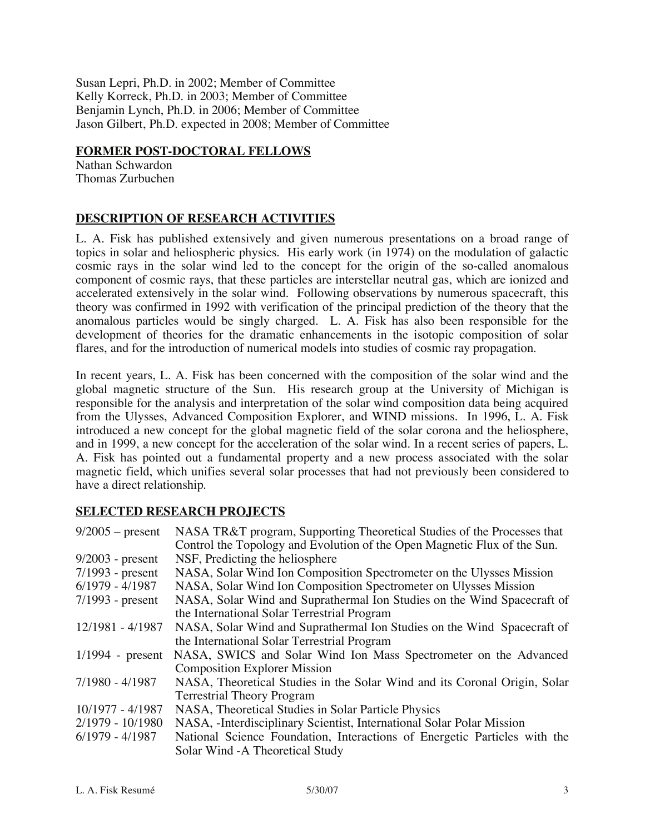Susan Lepri, Ph.D. in 2002; Member of Committee Kelly Korreck, Ph.D. in 2003; Member of Committee Benjamin Lynch, Ph.D. in 2006; Member of Committee Jason Gilbert, Ph.D. expected in 2008; Member of Committee

#### **FORMER POST-DOCTORAL FELLOWS**

Nathan Schwardon Thomas Zurbuchen

# **DESCRIPTION OF RESEARCH ACTIVITIES**

L. A. Fisk has published extensively and given numerous presentations on a broad range of topics in solar and heliospheric physics. His early work (in 1974) on the modulation of galactic cosmic rays in the solar wind led to the concept for the origin of the so-called anomalous component of cosmic rays, that these particles are interstellar neutral gas, which are ionized and accelerated extensively in the solar wind. Following observations by numerous spacecraft, this theory was confirmed in 1992 with verification of the principal prediction of the theory that the anomalous particles would be singly charged. L. A. Fisk has also been responsible for the development of theories for the dramatic enhancements in the isotopic composition of solar flares, and for the introduction of numerical models into studies of cosmic ray propagation.

In recent years, L. A. Fisk has been concerned with the composition of the solar wind and the global magnetic structure of the Sun. His research group at the University of Michigan is responsible for the analysis and interpretation of the solar wind composition data being acquired from the Ulysses, Advanced Composition Explorer, and WIND missions. In 1996, L. A. Fisk introduced a new concept for the global magnetic field of the solar corona and the heliosphere, and in 1999, a new concept for the acceleration of the solar wind. In a recent series of papers, L. A. Fisk has pointed out a fundamental property and a new process associated with the solar magnetic field, which unifies several solar processes that had not previously been considered to have a direct relationship.

# **SELECTED RESEARCH PROJECTS**

| $9/2005$ – present | NASA TR&T program, Supporting Theoretical Studies of the Processes that   |
|--------------------|---------------------------------------------------------------------------|
|                    | Control the Topology and Evolution of the Open Magnetic Flux of the Sun.  |
| $9/2003$ - present | NSF, Predicting the heliosphere                                           |
| $7/1993$ - present | NASA, Solar Wind Ion Composition Spectrometer on the Ulysses Mission      |
| $6/1979 - 4/1987$  | NASA, Solar Wind Ion Composition Spectrometer on Ulysses Mission          |
| $7/1993$ - present | NASA, Solar Wind and Suprathermal Ion Studies on the Wind Spacecraft of   |
|                    | the International Solar Terrestrial Program                               |
| 12/1981 - 4/1987   | NASA, Solar Wind and Suprathermal Ion Studies on the Wind Spacecraft of   |
|                    | the International Solar Terrestrial Program                               |
| $1/1994$ - present | NASA, SWICS and Solar Wind Ion Mass Spectrometer on the Advanced          |
|                    | <b>Composition Explorer Mission</b>                                       |
| 7/1980 - 4/1987    | NASA, Theoretical Studies in the Solar Wind and its Coronal Origin, Solar |
|                    | <b>Terrestrial Theory Program</b>                                         |
| 10/1977 - 4/1987   | NASA, Theoretical Studies in Solar Particle Physics                       |
| $2/1979 - 10/1980$ | NASA, -Interdisciplinary Scientist, International Solar Polar Mission     |
| $6/1979 - 4/1987$  | National Science Foundation, Interactions of Energetic Particles with the |
|                    | Solar Wind - A Theoretical Study                                          |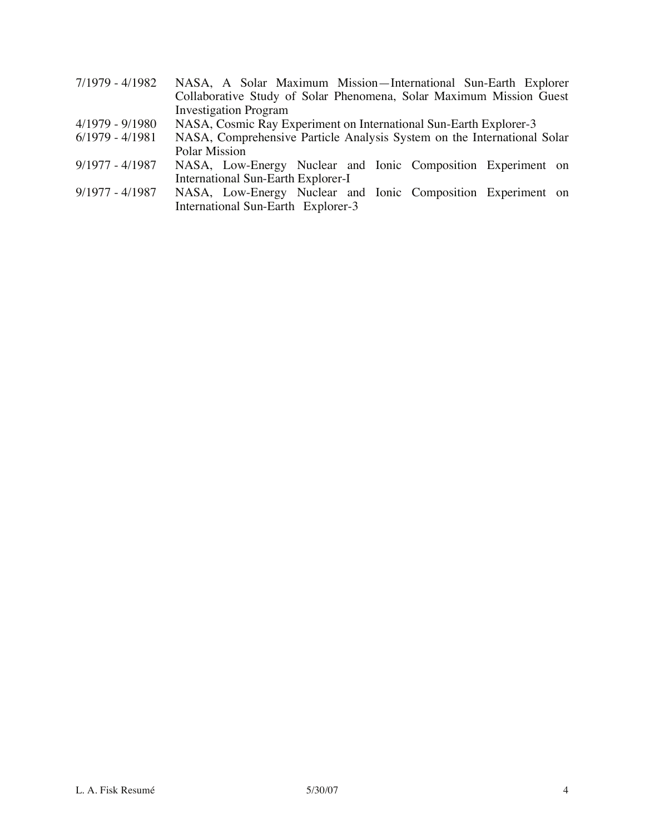- 7/1979 4/1982 NASA, A Solar Maximum Mission—International Sun-Earth Explorer Collaborative Study of Solar Phenomena, Solar Maximum Mission Guest Investigation Program
- 4/1979 9/1980 NASA, Cosmic Ray Experiment on International Sun-Earth Explorer-3<br>6/1979 4/1981 NASA, Comprehensive Particle Analysis System on the International
- NASA, Comprehensive Particle Analysis System on the International Solar Polar Mission
- 9/1977 4/1987 NASA, Low-Energy Nuclear and Ionic Composition Experiment on International Sun-Earth Explorer-I
- 9/1977 4/1987 NASA, Low-Energy Nuclear and Ionic Composition Experiment on International Sun-Earth Explorer-3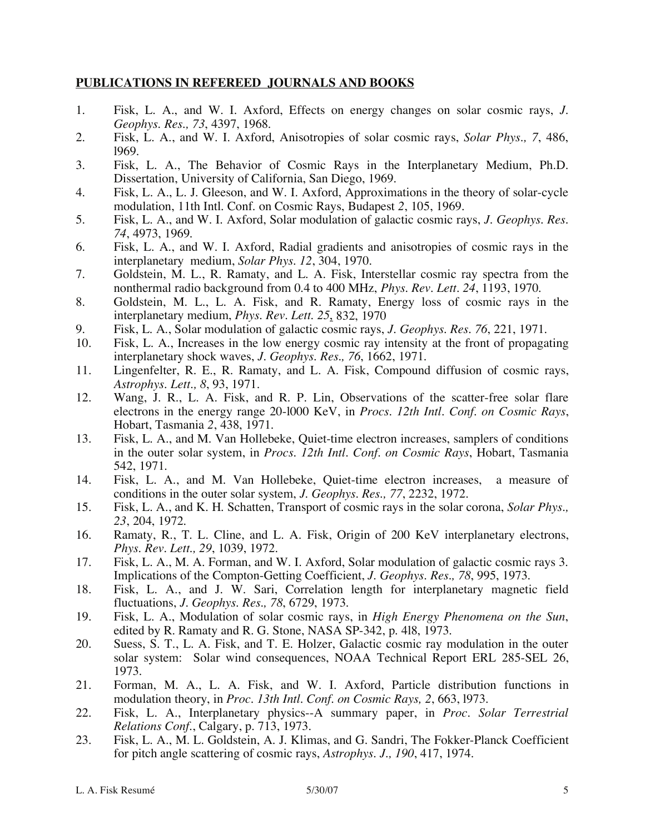# **PUBLICATIONS IN REFEREED JOURNALS AND BOOKS**

- 1. Fisk, L. A., and W. I. Axford, Effects on energy changes on solar cosmic rays, *J. Geophys. Res., 73*, 4397, 1968.
- 2. Fisk, L. A., and W. I. Axford, Anisotropies of solar cosmic rays, *Solar Phys., 7*, 486, l969.
- 3. Fisk, L. A., The Behavior of Cosmic Rays in the Interplanetary Medium, Ph.D. Dissertation, University of California, San Diego, 1969.
- 4. Fisk, L. A., L. J. Gleeson, and W. I. Axford, Approximations in the theory of solar-cycle modulation, 11th Intl. Conf. on Cosmic Rays, Budapest *2*, 105, 1969.
- 5. Fisk, L. A., and W. I. Axford, Solar modulation of galactic cosmic rays, *J. Geophys. Res. 74*, 4973, 1969.
- 6. Fisk, L. A., and W. I. Axford, Radial gradients and anisotropies of cosmic rays in the interplanetary medium, *Solar Phys. 12*, 304, 1970.
- 7. Goldstein, M. L., R. Ramaty, and L. A. Fisk, Interstellar cosmic ray spectra from the nonthermal radio background from 0.4 to 400 MHz, *Phys. Rev. Lett. 24*, 1193, 1970.
- 8. Goldstein, M. L., L. A. Fisk, and R. Ramaty, Energy loss of cosmic rays in the interplanetary medium, *Phys. Rev. Lett. 25*, 832, 1970
- 9. Fisk, L. A., Solar modulation of galactic cosmic rays, *J. Geophys. Res. 76*, 221, 1971.
- Fisk, L. A., Increases in the low energy cosmic ray intensity at the front of propagating interplanetary shock waves, *J. Geophys. Res., 76*, 1662, 1971.
- 11. Lingenfelter, R. E., R. Ramaty, and L. A. Fisk, Compound diffusion of cosmic rays, *Astrophys. Lett., 8*, 93, 1971.
- 12. Wang, J. R., L. A. Fisk, and R. P. Lin, Observations of the scatter-free solar flare electrons in the energy range 20-l000 KeV, in *Procs. 12th Intl. Conf. on Cosmic Rays*, Hobart, Tasmania *2*, 438, 1971.
- 13. Fisk, L. A., and M. Van Hollebeke, Quiet-time electron increases, samplers of conditions in the outer solar system, in *Procs. 12th Intl. Conf. on Cosmic Rays*, Hobart, Tasmania 542, 1971.
- 14. Fisk, L. A., and M. Van Hollebeke, Quiet-time electron increases, a measure of conditions in the outer solar system, *J. Geophys. Res., 77*, 2232, 1972.
- 15. Fisk, L. A., and K. H. Schatten, Transport of cosmic rays in the solar corona, *Solar Phys., 23*, 204, 1972.
- 16. Ramaty, R., T. L. Cline, and L. A. Fisk, Origin of 200 KeV interplanetary electrons, *Phys. Rev. Lett., 29*, 1039, 1972.
- 17. Fisk, L. A., M. A. Forman, and W. I. Axford, Solar modulation of galactic cosmic rays 3. Implications of the Compton-Getting Coefficient, *J. Geophys. Res., 78*, 995, 1973.
- 18. Fisk, L. A., and J. W. Sari, Correlation length for interplanetary magnetic field fluctuations, *J. Geophys. Res., 78*, 6729, 1973.
- 19. Fisk, L. A., Modulation of solar cosmic rays, in *High Energy Phenomena on the Sun*, edited by R. Ramaty and R. G. Stone, NASA SP-342, p. 4l8, 1973.
- 20. Suess, S. T., L. A. Fisk, and T. E. Holzer, Galactic cosmic ray modulation in the outer solar system: Solar wind consequences, NOAA Technical Report ERL 285-SEL 26, 1973.
- 21. Forman, M. A., L. A. Fisk, and W. I. Axford, Particle distribution functions in modulation theory, in *Proc. 13th Intl. Conf. on Cosmic Rays, 2*, 663, l973.
- 22. Fisk, L. A., Interplanetary physics--A summary paper, in *Proc. Solar Terrestrial Relations Conf.*, Calgary, p. 713, 1973.
- 23. Fisk, L. A., M. L. Goldstein, A. J. Klimas, and G. Sandri, The Fokker-Planck Coefficient for pitch angle scattering of cosmic rays, *Astrophys. J., 190*, 417, 1974.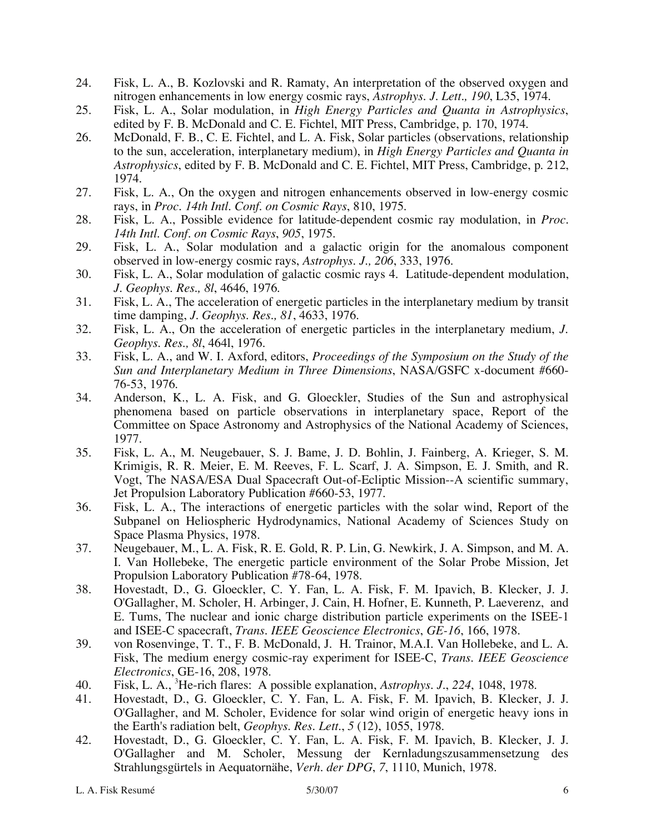- 24. Fisk, L. A., B. Kozlovski and R. Ramaty, An interpretation of the observed oxygen and nitrogen enhancements in low energy cosmic rays, *Astrophys. J. Lett., 190*, L35, 1974.
- 25. Fisk, L. A., Solar modulation, in *High Energy Particles and Quanta in Astrophysics*, edited by F. B. McDonald and C. E. Fichtel, MIT Press, Cambridge, p. 170, 1974.
- 26. McDonald, F. B., C. E. Fichtel, and L. A. Fisk, Solar particles (observations, relationship to the sun, acceleration, interplanetary medium), in *High Energy Particles and Quanta in Astrophysics*, edited by F. B. McDonald and C. E. Fichtel, MIT Press, Cambridge, p. 212, 1974.
- 27. Fisk, L. A., On the oxygen and nitrogen enhancements observed in low-energy cosmic rays, in *Proc. 14th Intl. Conf. on Cosmic Rays*, 810, 1975.
- 28. Fisk, L. A., Possible evidence for latitude-dependent cosmic ray modulation, in *Proc. 14th Intl. Conf. on Cosmic Rays*, *905*, 1975.
- 29. Fisk, L. A., Solar modulation and a galactic origin for the anomalous component observed in low-energy cosmic rays, *Astrophys. J., 206*, 333, 1976.
- 30. Fisk, L. A., Solar modulation of galactic cosmic rays 4. Latitude-dependent modulation, *J. Geophys. Res., 8l*, 4646, 1976.
- 31. Fisk, L. A., The acceleration of energetic particles in the interplanetary medium by transit time damping, *J. Geophys. Res., 81*, 4633, 1976.
- 32. Fisk, L. A., On the acceleration of energetic particles in the interplanetary medium, *J. Geophys. Res., 8l*, 464l, 1976.
- 33. Fisk, L. A., and W. I. Axford, editors, *Proceedings of the Symposium on the Study of the Sun and Interplanetary Medium in Three Dimensions*, NASA/GSFC x-document #660- 76-53, 1976.
- 34. Anderson, K., L. A. Fisk, and G. Gloeckler, Studies of the Sun and astrophysical phenomena based on particle observations in interplanetary space, Report of the Committee on Space Astronomy and Astrophysics of the National Academy of Sciences, 1977.
- 35. Fisk, L. A., M. Neugebauer, S. J. Bame, J. D. Bohlin, J. Fainberg, A. Krieger, S. M. Krimigis, R. R. Meier, E. M. Reeves, F. L. Scarf, J. A. Simpson, E. J. Smith, and R. Vogt, The NASA/ESA Dual Spacecraft Out-of-Ecliptic Mission--A scientific summary, Jet Propulsion Laboratory Publication #660-53, 1977.
- 36. Fisk, L. A., The interactions of energetic particles with the solar wind, Report of the Subpanel on Heliospheric Hydrodynamics, National Academy of Sciences Study on Space Plasma Physics, 1978.
- 37. Neugebauer, M., L. A. Fisk, R. E. Gold, R. P. Lin, G. Newkirk, J. A. Simpson, and M. A. I. Van Hollebeke, The energetic particle environment of the Solar Probe Mission, Jet Propulsion Laboratory Publication #78-64, 1978.
- 38. Hovestadt, D., G. Gloeckler, C. Y. Fan, L. A. Fisk, F. M. Ipavich, B. Klecker, J. J. O'Gallagher, M. Scholer, H. Arbinger, J. Cain, H. Hofner, E. Kunneth, P. Laeverenz, and E. Tums, The nuclear and ionic charge distribution particle experiments on the ISEE-1 and ISEE-C spacecraft, *Trans. IEEE Geoscience Electronics*, *GE-16*, 166, 1978.
- 39. von Rosenvinge, T. T., F. B. McDonald, J. H. Trainor, M.A.I. Van Hollebeke, and L. A. Fisk, The medium energy cosmic-ray experiment for ISEE-C, *Trans. IEEE Geoscience Electronics*, GE-16, 208, 1978.
- 40. Fisk, L. A., <sup>3</sup> He-rich flares: A possible explanation, *Astrophys. J.*, *224*, 1048, 1978.
- 41. Hovestadt, D., G. Gloeckler, C. Y. Fan, L. A. Fisk, F. M. Ipavich, B. Klecker, J. J. O'Gallagher, and M. Scholer, Evidence for solar wind origin of energetic heavy ions in the Earth's radiation belt, *Geophys. Res. Lett.*, *5* (12), 1055, 1978.
- 42. Hovestadt, D., G. Gloeckler, C. Y. Fan, L. A. Fisk, F. M. Ipavich, B. Klecker, J. J. O'Gallagher and M. Scholer, Messung der Kernladungszusammensetzung des Strahlungsgürtels in Aequatornähe, *Verh. der DPG*, *7*, 1110, Munich, 1978.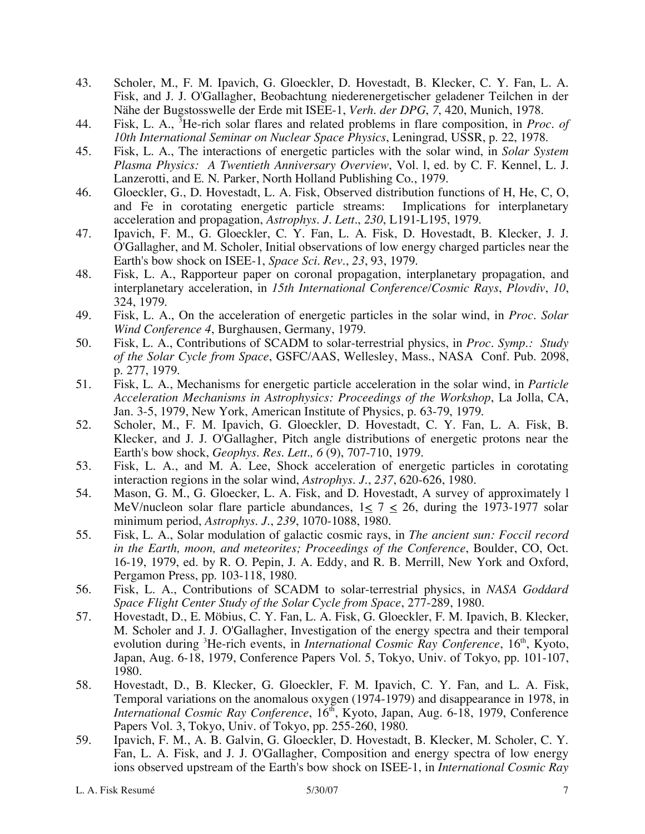- 43. Scholer, M., F. M. Ipavich, G. Gloeckler, D. Hovestadt, B. Klecker, C. Y. Fan, L. A. Fisk, and J. J. O'Gallagher, Beobachtung niederenergetischer geladener Teilchen in der Nähe der Bugstosswelle der Erde mit ISEE-1, *Verh. der DPG*, *7*, 420, Munich, 1978.
- 44. Fisk, L. A., <sup>3</sup> He-rich solar flares and related problems in flare composition, in *Proc. of 10th International Seminar on Nuclear Space Physics*, Leningrad, USSR, p. 22, 1978.
- 45. Fisk, L. A., The interactions of energetic particles with the solar wind, in *Solar System Plasma Physics: A Twentieth Anniversary Overview*, Vol. l, ed. by C. F. Kennel, L. J. Lanzerotti, and E. N. Parker, North Holland Publishing Co., 1979.
- 46. Gloeckler, G., D. Hovestadt, L. A. Fisk, Observed distribution functions of H, He, C, O, and Fe in corotating energetic particle streams: Implications for interplanetary acceleration and propagation, *Astrophys. J. Lett.*, *230*, L191-L195, 1979.
- 47. Ipavich, F. M., G. Gloeckler, C. Y. Fan, L. A. Fisk, D. Hovestadt, B. Klecker, J. J. O'Gallagher, and M. Scholer, Initial observations of low energy charged particles near the Earth's bow shock on ISEE-1, *Space Sci. Rev.*, *23*, 93, 1979.
- 48. Fisk, L. A., Rapporteur paper on coronal propagation, interplanetary propagation, and interplanetary acceleration, in *15th International Conference/Cosmic Rays*, *Plovdiv*, *10*, 324, 1979.
- 49. Fisk, L. A., On the acceleration of energetic particles in the solar wind, in *Proc. Solar Wind Conference 4*, Burghausen, Germany, 1979.
- 50. Fisk, L. A., Contributions of SCADM to solar-terrestrial physics, in *Proc. Symp.: Study of the Solar Cycle from Space*, GSFC/AAS, Wellesley, Mass., NASA Conf. Pub. 2098, p. 277, 1979.
- 51. Fisk, L. A., Mechanisms for energetic particle acceleration in the solar wind, in *Particle Acceleration Mechanisms in Astrophysics: Proceedings of the Workshop*, La Jolla, CA, Jan. 3-5, 1979, New York, American Institute of Physics, p. 63-79, 1979.
- 52. Scholer, M., F. M. Ipavich, G. Gloeckler, D. Hovestadt, C. Y. Fan, L. A. Fisk, B. Klecker, and J. J. O'Gallagher, Pitch angle distributions of energetic protons near the Earth's bow shock, *Geophys. Res. Lett., 6* (9), 707-710, 1979.
- 53. Fisk, L. A., and M. A. Lee, Shock acceleration of energetic particles in corotating interaction regions in the solar wind, *Astrophys. J.*, *237*, 620-626, 1980.
- 54. Mason, G. M., G. Gloecker, L. A. Fisk, and D. Hovestadt, A survey of approximately l MeV/nucleon solar flare particle abundances,  $1 \le 7 \le 26$ , during the 1973-1977 solar minimum period, *Astrophys. J.*, *239*, 1070-1088, 1980.
- 55. Fisk, L. A., Solar modulation of galactic cosmic rays, in *The ancient sun: Foccil record in the Earth, moon, and meteorites; Proceedings of the Conference*, Boulder, CO, Oct. 16-19, 1979, ed. by R. O. Pepin, J. A. Eddy, and R. B. Merrill, New York and Oxford, Pergamon Press, pp. 103-118, 1980.
- 56. Fisk, L. A., Contributions of SCADM to solar-terrestrial physics, in *NASA Goddard Space Flight Center Study of the Solar Cycle from Space*, 277-289, 1980.
- 57. Hovestadt, D., E. Möbius, C. Y. Fan, L. A. Fisk, G. Gloeckler, F. M. Ipavich, B. Klecker, M. Scholer and J. J. O'Gallagher, Investigation of the energy spectra and their temporal evolution during <sup>3</sup>He-rich events, in *International Cosmic Ray Conference*, 16<sup>th</sup>, Kyoto, Japan, Aug. 6-18, 1979, Conference Papers Vol. 5, Tokyo, Univ. of Tokyo, pp. 101-107, 1980.
- 58. Hovestadt, D., B. Klecker, G. Gloeckler, F. M. Ipavich, C. Y. Fan, and L. A. Fisk, Temporal variations on the anomalous oxygen (1974-1979) and disappearance in 1978, in *International Cosmic Ray Conference*, 16<sup>th</sup>, Kyoto, Japan, Aug. 6-18, 1979, Conference Papers Vol. 3, Tokyo, Univ. of Tokyo, pp. 255-260, 1980.
- 59. Ipavich, F. M., A. B. Galvin, G. Gloeckler, D. Hovestadt, B. Klecker, M. Scholer, C. Y. Fan, L. A. Fisk, and J. J. O'Gallagher, Composition and energy spectra of low energy ions observed upstream of the Earth's bow shock on ISEE-1, in *International Cosmic Ray*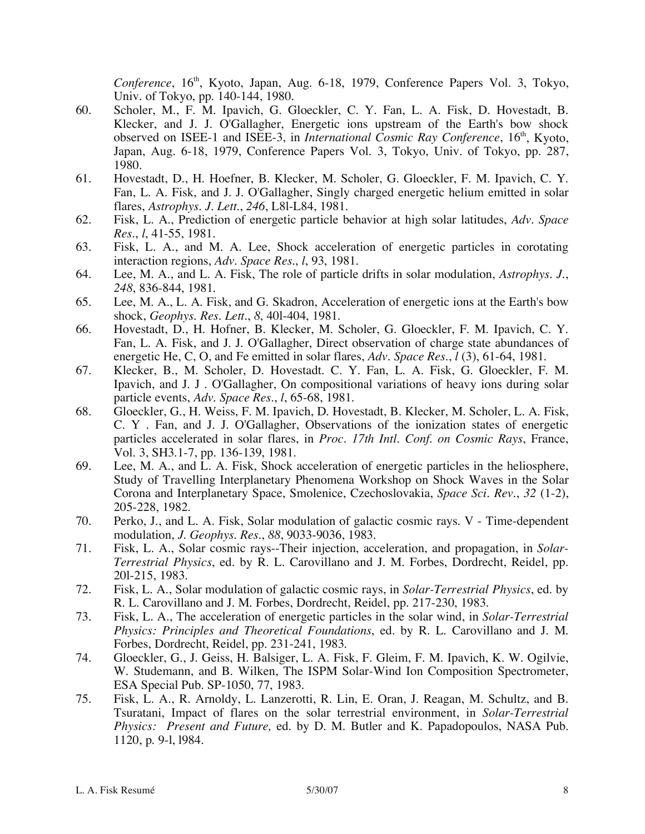*Conference*, 16<sup>th</sup>, Kyoto, Japan, Aug. 6-18, 1979, Conference Papers Vol. 3, Tokyo, Univ. of Tokyo, pp. 140-144, 1980.

- 60. Scholer, M., F. M. Ipavich, G. Gloeckler, C. Y. Fan, L. A. Fisk, D. Hovestadt, B. Klecker, and J. J. O'Gallagher, Energetic ions upstream of the Earth's bow shock observed on ISEE-1 and ISEE-3, in *International Cosmic Ray Conference*, 16<sup>th</sup>, Kyoto, Japan, Aug. 6-18, 1979, Conference Papers Vol. 3, Tokyo, Univ. of Tokyo, pp. 287, 1980.
- 61. Hovestadt, D., H. Hoefner, B. Klecker, M. Scholer, G. Gloeckler, F. M. Ipavich, C. Y. Fan, L. A. Fisk, and J. J. O'Gallagher, Singly charged energetic helium emitted in solar flares, *Astrophys. J. Lett.*, *246*, L8l-L84, 1981.
- 62. Fisk, L. A., Prediction of energetic particle behavior at high solar latitudes, *Adv. Space Res.*, *l*, 41-55, 1981.
- 63. Fisk, L. A., and M. A. Lee, Shock acceleration of energetic particles in corotating interaction regions, *Adv. Space Res.*, *l*, 93, 1981.
- 64. Lee, M. A., and L. A. Fisk, The role of particle drifts in solar modulation, *Astrophys. J.*, *248*, 836-844, 1981.
- 65. Lee, M. A., L. A. Fisk, and G. Skadron, Acceleration of energetic ions at the Earth's bow shock, *Geophys. Res. Lett.*, *8*, 40l-404, 1981.
- 66. Hovestadt, D., H. Hofner, B. Klecker, M. Scholer, G. Gloeckler, F. M. Ipavich, C. Y. Fan, L. A. Fisk, and J. J. O'Gallagher, Direct observation of charge state abundances of energetic He, C, O, and Fe emitted in solar flares, *Adv. Space Res.*, *l* (3), 61-64, 1981.
- 67. Klecker, B., M. Scholer, D. Hovestadt. C. Y. Fan, L. A. Fisk, G. Gloeckler, F. M. Ipavich, and J. J . O'Gallagher, On compositional variations of heavy ions during solar particle events, *Adv. Space Res.*, *l*, 65-68, 1981.
- 68. Gloeckler, G., H. Weiss, F. M. Ipavich, D. Hovestadt, B. Klecker, M. Scholer, L. A. Fisk, C. Y . Fan, and J. J. O'Gallagher, Observations of the ionization states of energetic particles accelerated in solar flares, in *Proc. 17th Intl. Conf. on Cosmic Rays*, France, Vol. 3, SH3.1-7, pp. 136-139, 1981.
- 69. Lee, M. A., and L. A. Fisk, Shock acceleration of energetic particles in the heliosphere, Study of Travelling Interplanetary Phenomena Workshop on Shock Waves in the Solar Corona and Interplanetary Space, Smolenice, Czechoslovakia, *Space Sci. Rev.*, *32* (1-2), 205-228, 1982.
- 70. Perko, J., and L. A. Fisk, Solar modulation of galactic cosmic rays. V Time-dependent modulation, *J. Geophys. Res.*, *88*, 9033-9036, 1983.
- 71. Fisk, L. A., Solar cosmic rays--Their injection, acceleration, and propagation, in *Solar-Terrestrial Physics*, ed. by R. L. Carovillano and J. M. Forbes, Dordrecht, Reidel, pp. 20l-215, 1983.
- 72. Fisk, L. A., Solar modulation of galactic cosmic rays, in *Solar-Terrestrial Physics*, ed. by R. L. Carovillano and J. M. Forbes, Dordrecht, Reidel, pp. 217-230, 1983.
- 73. Fisk, L. A., The acceleration of energetic particles in the solar wind, in *Solar-Terrestrial Physics: Principles and Theoretical Foundations*, ed. by R. L. Carovillano and J. M. Forbes, Dordrecht, Reidel, pp. 231-241, 1983.
- 74. Gloeckler, G., J. Geiss, H. Balsiger, L. A. Fisk, F. Gleim, F. M. Ipavich, K. W. Ogilvie, W. Studemann, and B. Wilken, The ISPM Solar-Wind Ion Composition Spectrometer, ESA Special Pub. SP-1050, 77, 1983.
- 75. Fisk, L. A., R. Arnoldy, L. Lanzerotti, R. Lin, E. Oran, J. Reagan, M. Schultz, and B. Tsuratani, Impact of flares on the solar terrestrial environment, in *Solar-Terrestrial Physics: Present and Future,* ed. by D. M. Butler and K. Papadopoulos, NASA Pub. 1120, p. 9-l, l984.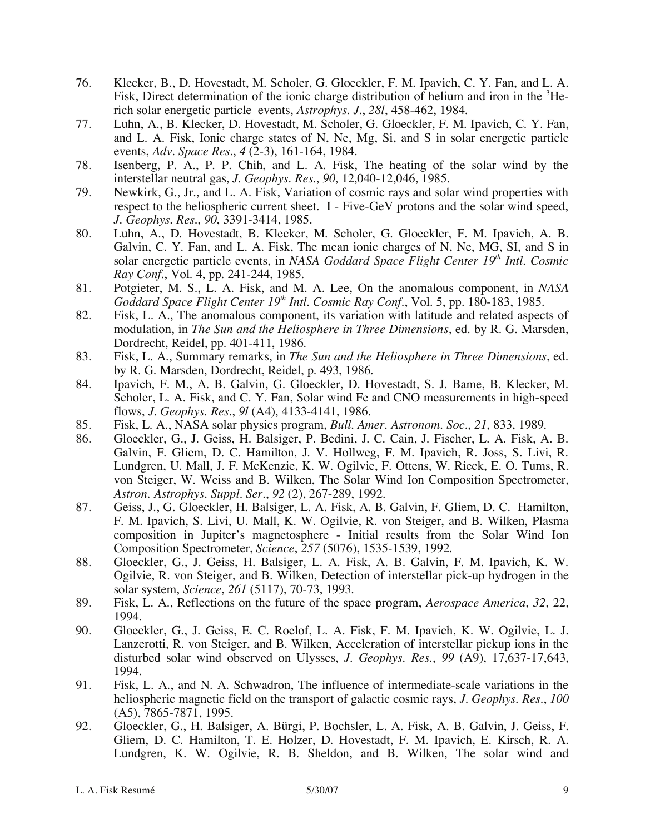- 76. Klecker, B., D. Hovestadt, M. Scholer, G. Gloeckler, F. M. Ipavich, C. Y. Fan, and L. A. Fisk, Direct determination of the ionic charge distribution of helium and iron in the <sup>3</sup>Herich solar energetic particle events, *Astrophys. J.*, *28l*, 458-462, 1984.
- 77. Luhn, A., B. Klecker, D. Hovestadt, M. Scholer, G. Gloeckler, F. M. Ipavich, C. Y. Fan, and L. A. Fisk, Ionic charge states of N, Ne, Mg, Si, and S in solar energetic particle events, *Adv. Space Res.*, *4* (2-3), 161-164, 1984.
- 78. Isenberg, P. A., P. P. Chih, and L. A. Fisk, The heating of the solar wind by the interstellar neutral gas, *J. Geophys. Res.*, *90*, 12,040-12,046, 1985.
- 79. Newkirk, G., Jr., and L. A. Fisk, Variation of cosmic rays and solar wind properties with respect to the heliospheric current sheet. I - Five-GeV protons and the solar wind speed, *J. Geophys. Res.*, *90*, 3391-3414, 1985.
- 80. Luhn, A., D. Hovestadt, B. Klecker, M. Scholer, G. Gloeckler, F. M. Ipavich, A. B. Galvin, C. Y. Fan, and L. A. Fisk, The mean ionic charges of N, Ne, MG, SI, and S in solar energetic particle events, in *NASA Goddard Space Flight Center 19th Intl. Cosmic Ray Conf.*, Vol. 4, pp. 241-244, 1985.
- 81. Potgieter, M. S., L. A. Fisk, and M. A. Lee, On the anomalous component, in *NASA Goddard Space Flight Center 19th Intl. Cosmic Ray Conf.*, Vol. 5, pp. 180-183, 1985.
- 82. Fisk, L. A., The anomalous component, its variation with latitude and related aspects of modulation, in *The Sun and the Heliosphere in Three Dimensions*, ed. by R. G. Marsden, Dordrecht, Reidel, pp. 401-411, 1986.
- 83. Fisk, L. A., Summary remarks, in *The Sun and the Heliosphere in Three Dimensions*, ed. by R. G. Marsden, Dordrecht, Reidel, p. 493, 1986.
- 84. Ipavich, F. M., A. B. Galvin, G. Gloeckler, D. Hovestadt, S. J. Bame, B. Klecker, M. Scholer, L. A. Fisk, and C. Y. Fan, Solar wind Fe and CNO measurements in high-speed flows, *J. Geophys. Res.*, *9l* (A4), 4133-4141, 1986.
- 85. Fisk, L. A., NASA solar physics program, *Bull. Amer. Astronom. Soc.*, *21*, 833, 1989.
- 86. Gloeckler, G., J. Geiss, H. Balsiger, P. Bedini, J. C. Cain, J. Fischer, L. A. Fisk, A. B. Galvin, F. Gliem, D. C. Hamilton, J. V. Hollweg, F. M. Ipavich, R. Joss, S. Livi, R. Lundgren, U. Mall, J. F. McKenzie, K. W. Ogilvie, F. Ottens, W. Rieck, E. O. Tums, R. von Steiger, W. Weiss and B. Wilken, The Solar Wind Ion Composition Spectrometer, *Astron. Astrophys. Suppl. Ser.*, *92* (2), 267-289, 1992.
- 87. Geiss, J., G. Gloeckler, H. Balsiger, L. A. Fisk, A. B. Galvin, F. Gliem, D. C. Hamilton, F. M. Ipavich, S. Livi, U. Mall, K. W. Ogilvie, R. von Steiger, and B. Wilken, Plasma composition in Jupiter's magnetosphere - Initial results from the Solar Wind Ion Composition Spectrometer, *Science*, *257* (5076), 1535-1539, 1992.
- 88. Gloeckler, G., J. Geiss, H. Balsiger, L. A. Fisk, A. B. Galvin, F. M. Ipavich, K. W. Ogilvie, R. von Steiger, and B. Wilken, Detection of interstellar pick-up hydrogen in the solar system, *Science*, *261* (5117), 70-73, 1993.
- 89. Fisk, L. A., Reflections on the future of the space program, *Aerospace America*, *32*, 22, 1994.
- 90. Gloeckler, G., J. Geiss, E. C. Roelof, L. A. Fisk, F. M. Ipavich, K. W. Ogilvie, L. J. Lanzerotti, R. von Steiger, and B. Wilken, Acceleration of interstellar pickup ions in the disturbed solar wind observed on Ulysses, *J. Geophys. Res.*, *99* (A9), 17,637-17,643, 1994.
- 91. Fisk, L. A., and N. A. Schwadron, The influence of intermediate-scale variations in the heliospheric magnetic field on the transport of galactic cosmic rays, *J. Geophys. Res.*, *100* (A5), 7865-7871, 1995.
- 92. Gloeckler, G., H. Balsiger, A. Bürgi, P. Bochsler, L. A. Fisk, A. B. Galvin, J. Geiss, F. Gliem, D. C. Hamilton, T. E. Holzer, D. Hovestadt, F. M. Ipavich, E. Kirsch, R. A. Lundgren, K. W. Ogilvie, R. B. Sheldon, and B. Wilken, The solar wind and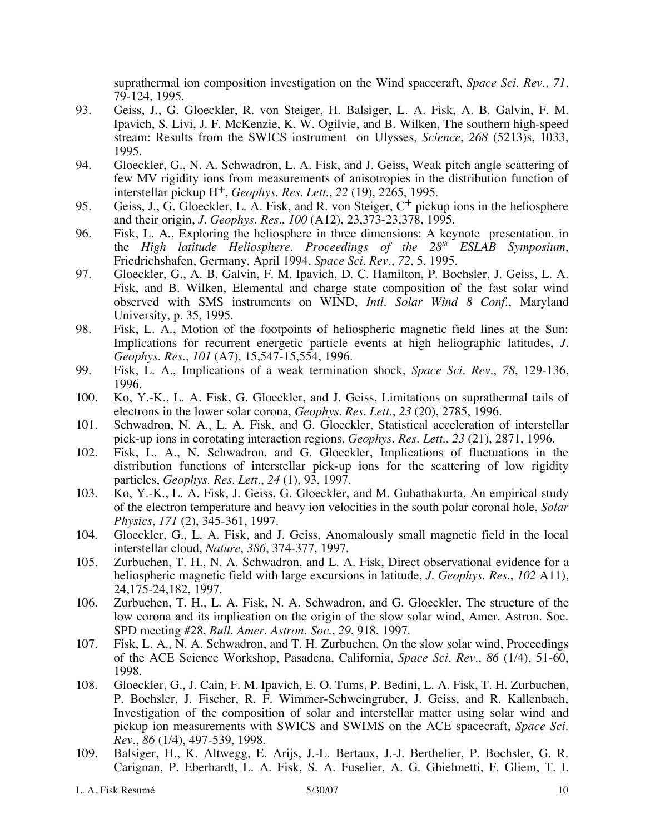suprathermal ion composition investigation on the Wind spacecraft, *Space Sci. Rev*., *71*, 79-124, 1995.

- 93. Geiss, J., G. Gloeckler, R. von Steiger, H. Balsiger, L. A. Fisk, A. B. Galvin, F. M. Ipavich, S. Livi, J. F. McKenzie, K. W. Ogilvie, and B. Wilken, The southern high-speed stream: Results from the SWICS instrument on Ulysses, *Science*, *268* (5213)s, 1033, 1995.
- 94. Gloeckler, G., N. A. Schwadron, L. A. Fisk, and J. Geiss, Weak pitch angle scattering of few MV rigidity ions from measurements of anisotropies in the distribution function of interstellar pickup H+, *Geophys. Res. Lett.*, *22* (19), 2265, 1995.
- 95. Geiss, J., G. Gloeckler, L. A. Fisk, and R. von Steiger,  $C^+$  pickup ions in the heliosphere and their origin, *J. Geophys. Res.*, *100* (A12), 23,373-23,378, 1995.
- 96. Fisk, L. A., Exploring the heliosphere in three dimensions: A keynote presentation, in the *High latitude Heliosphere. Proceedings of the 28th ESLAB Symposium*, Friedrichshafen, Germany, April 1994, *Space Sci. Rev.*, *72*, 5, 1995.
- 97. Gloeckler, G., A. B. Galvin, F. M. Ipavich, D. C. Hamilton, P. Bochsler, J. Geiss, L. A. Fisk, and B. Wilken, Elemental and charge state composition of the fast solar wind observed with SMS instruments on WIND, *Intl. Solar Wind 8 Conf.*, Maryland University, p. 35, 1995.
- 98. Fisk, L. A., Motion of the footpoints of heliospheric magnetic field lines at the Sun: Implications for recurrent energetic particle events at high heliographic latitudes, *J. Geophys. Res.*, *101* (A7), 15,547-15,554, 1996.
- 99. Fisk, L. A., Implications of a weak termination shock, *Space Sci. Rev.*, *78*, 129-136, 1996.
- 100. Ko, Y.-K., L. A. Fisk, G. Gloeckler, and J. Geiss, Limitations on suprathermal tails of electrons in the lower solar corona, *Geophys. Res. Lett.*, *23* (20), 2785, 1996.
- 101. Schwadron, N. A., L. A. Fisk, and G. Gloeckler, Statistical acceleration of interstellar pick-up ions in corotating interaction regions, *Geophys. Res. Lett.*, *23* (21), 2871, 1996.
- 102. Fisk, L. A., N. Schwadron, and G. Gloeckler, Implications of fluctuations in the distribution functions of interstellar pick-up ions for the scattering of low rigidity particles, *Geophys. Res. Lett.*, *24* (1), 93, 1997.
- 103. Ko, Y.-K., L. A. Fisk, J. Geiss, G. Gloeckler, and M. Guhathakurta, An empirical study of the electron temperature and heavy ion velocities in the south polar coronal hole, *Solar Physics*, *171* (2), 345-361, 1997.
- 104. Gloeckler, G., L. A. Fisk, and J. Geiss, Anomalously small magnetic field in the local interstellar cloud, *Nature*, *386*, 374-377, 1997.
- 105. Zurbuchen, T. H., N. A. Schwadron, and L. A. Fisk, Direct observational evidence for a heliospheric magnetic field with large excursions in latitude, *J. Geophys. Res.*, *102* A11), 24,175-24,182, 1997.
- 106. Zurbuchen, T. H., L. A. Fisk, N. A. Schwadron, and G. Gloeckler, The structure of the low corona and its implication on the origin of the slow solar wind, Amer. Astron. Soc. SPD meeting #28, *Bull. Amer. Astron. Soc.*, *29*, 918, 1997.
- 107. Fisk, L. A., N. A. Schwadron, and T. H. Zurbuchen, On the slow solar wind, Proceedings of the ACE Science Workshop, Pasadena, California, *Space Sci. Rev.*, *86* (1/4), 51-60, 1998.
- 108. Gloeckler, G., J. Cain, F. M. Ipavich, E. O. Tums, P. Bedini, L. A. Fisk, T. H. Zurbuchen, P. Bochsler, J. Fischer, R. F. Wimmer-Schweingruber, J. Geiss, and R. Kallenbach, Investigation of the composition of solar and interstellar matter using solar wind and pickup ion measurements with SWICS and SWIMS on the ACE spacecraft, *Space Sci. Rev.*, *86* (1/4), 497-539, 1998.
- 109. Balsiger, H., K. Altwegg, E. Arijs, J.-L. Bertaux, J.-J. Berthelier, P. Bochsler, G. R. Carignan, P. Eberhardt, L. A. Fisk, S. A. Fuselier, A. G. Ghielmetti, F. Gliem, T. I.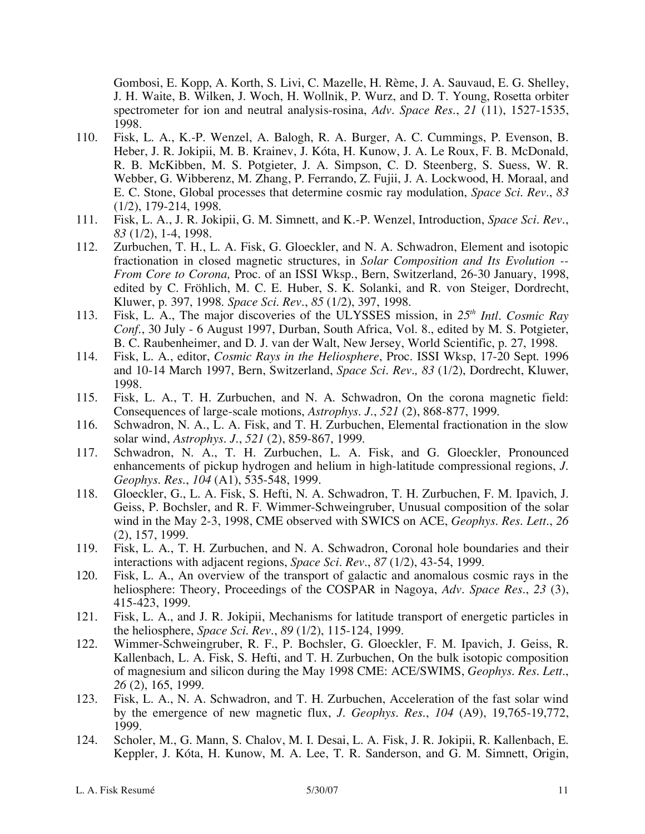Gombosi, E. Kopp, A. Korth, S. Livi, C. Mazelle, H. Rème, J. A. Sauvaud, E. G. Shelley, J. H. Waite, B. Wilken, J. Woch, H. Wollnik, P. Wurz, and D. T. Young, Rosetta orbiter spectrometer for ion and neutral analysis-rosina, *Adv. Space Res.*, *21* (11), 1527-1535, 1998.

- 110. Fisk, L. A., K.-P. Wenzel, A. Balogh, R. A. Burger, A. C. Cummings, P. Evenson, B. Heber, J. R. Jokipii, M. B. Krainev, J. Kóta, H. Kunow, J. A. Le Roux, F. B. McDonald, R. B. McKibben, M. S. Potgieter, J. A. Simpson, C. D. Steenberg, S. Suess, W. R. Webber, G. Wibberenz, M. Zhang, P. Ferrando, Z. Fujii, J. A. Lockwood, H. Moraal, and E. C. Stone, Global processes that determine cosmic ray modulation, *Space Sci. Rev.*, *83*  (1/2), 179-214, 1998.
- 111. Fisk, L. A., J. R. Jokipii, G. M. Simnett, and K.-P. Wenzel, Introduction, *Space Sci. Rev.*, *83* (1/2), 1-4, 1998.
- 112. Zurbuchen, T. H., L. A. Fisk, G. Gloeckler, and N. A. Schwadron, Element and isotopic fractionation in closed magnetic structures, in *Solar Composition and Its Evolution -- From Core to Corona,* Proc. of an ISSI Wksp., Bern, Switzerland, 26-30 January, 1998, edited by C. Fröhlich, M. C. E. Huber, S. K. Solanki, and R. von Steiger, Dordrecht, Kluwer, p. 397, 1998. *Space Sci. Rev.*, *85* (1/2), 397, 1998.
- 113. Fisk, L. A., The major discoveries of the ULYSSES mission, in *25th Intl. Cosmic Ray Conf.*, 30 July - 6 August 1997, Durban, South Africa, Vol. 8., edited by M. S. Potgieter, B. C. Raubenheimer, and D. J. van der Walt, New Jersey, World Scientific, p. 27, 1998.
- 114. Fisk, L. A., editor, *Cosmic Rays in the Heliosphere*, Proc. ISSI Wksp, 17-20 Sept. 1996 and 10-14 March 1997, Bern, Switzerland, *Space Sci. Rev., 83* (1/2), Dordrecht, Kluwer, 1998.
- 115. Fisk, L. A., T. H. Zurbuchen, and N. A. Schwadron, On the corona magnetic field: Consequences of large-scale motions, *Astrophys. J.*, *521* (2), 868-877, 1999.
- 116. Schwadron, N. A., L. A. Fisk, and T. H. Zurbuchen, Elemental fractionation in the slow solar wind, *Astrophys. J.*, *521* (2), 859-867, 1999.
- 117. Schwadron, N. A., T. H. Zurbuchen, L. A. Fisk, and G. Gloeckler, Pronounced enhancements of pickup hydrogen and helium in high-latitude compressional regions, *J. Geophys. Res.*, *104* (A1), 535-548, 1999.
- 118. Gloeckler, G., L. A. Fisk, S. Hefti, N. A. Schwadron, T. H. Zurbuchen, F. M. Ipavich, J. Geiss, P. Bochsler, and R. F. Wimmer-Schweingruber, Unusual composition of the solar wind in the May 2-3, 1998, CME observed with SWICS on ACE, *Geophys. Res. Lett.*, *26* (2), 157, 1999.
- 119. Fisk, L. A., T. H. Zurbuchen, and N. A. Schwadron, Coronal hole boundaries and their interactions with adjacent regions, *Space Sci. Rev.*, *87* (1/2), 43-54, 1999.
- 120. Fisk, L. A., An overview of the transport of galactic and anomalous cosmic rays in the heliosphere: Theory, Proceedings of the COSPAR in Nagoya, *Adv. Space Res*., *23* (3), 415-423, 1999.
- 121. Fisk, L. A., and J. R. Jokipii, Mechanisms for latitude transport of energetic particles in the heliosphere, *Space Sci. Rev.*, *89* (1/2), 115-124, 1999.
- 122. Wimmer-Schweingruber, R. F., P. Bochsler, G. Gloeckler, F. M. Ipavich, J. Geiss, R. Kallenbach, L. A. Fisk, S. Hefti, and T. H. Zurbuchen, On the bulk isotopic composition of magnesium and silicon during the May 1998 CME: ACE/SWIMS, *Geophys. Res. Lett.*, *26* (2), 165, 1999.
- 123. Fisk, L. A., N. A. Schwadron, and T. H. Zurbuchen, Acceleration of the fast solar wind by the emergence of new magnetic flux, *J. Geophys. Res.*, *104* (A9), 19,765-19,772, 1999.
- 124. Scholer, M., G. Mann, S. Chalov, M. I. Desai, L. A. Fisk, J. R. Jokipii, R. Kallenbach, E. Keppler, J. Kóta, H. Kunow, M. A. Lee, T. R. Sanderson, and G. M. Simnett, Origin,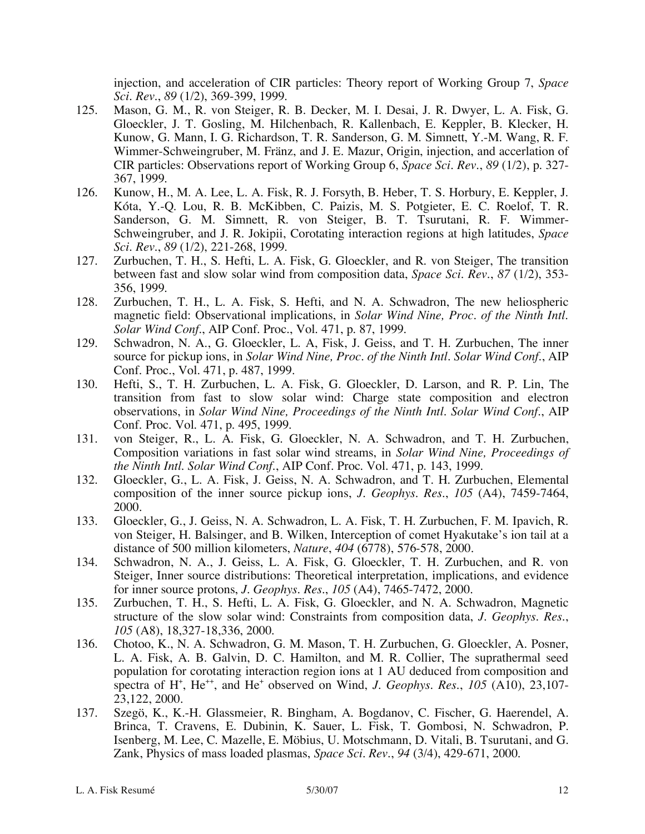injection, and acceleration of CIR particles: Theory report of Working Group 7, *Space Sci. Rev.*, *89* (1/2), 369-399, 1999.

- 125. Mason, G. M., R. von Steiger, R. B. Decker, M. I. Desai, J. R. Dwyer, L. A. Fisk, G. Gloeckler, J. T. Gosling, M. Hilchenbach, R. Kallenbach, E. Keppler, B. Klecker, H. Kunow, G. Mann, I. G. Richardson, T. R. Sanderson, G. M. Simnett, Y.-M. Wang, R. F. Wimmer-Schweingruber, M. Fränz, and J. E. Mazur, Origin, injection, and accerlation of CIR particles: Observations report of Working Group 6, *Space Sci. Rev.*, *89* (1/2), p. 327- 367, 1999.
- 126. Kunow, H., M. A. Lee, L. A. Fisk, R. J. Forsyth, B. Heber, T. S. Horbury, E. Keppler, J. Kóta, Y.-Q. Lou, R. B. McKibben, C. Paizis, M. S. Potgieter, E. C. Roelof, T. R. Sanderson, G. M. Simnett, R. von Steiger, B. T. Tsurutani, R. F. Wimmer-Schweingruber, and J. R. Jokipii, Corotating interaction regions at high latitudes, *Space Sci. Rev.*, *89* (1/2), 221-268, 1999.
- 127. Zurbuchen, T. H., S. Hefti, L. A. Fisk, G. Gloeckler, and R. von Steiger, The transition between fast and slow solar wind from composition data, *Space Sci. Rev.*, *87* (1/2), 353- 356, 1999.
- 128. Zurbuchen, T. H., L. A. Fisk, S. Hefti, and N. A. Schwadron, The new heliospheric magnetic field: Observational implications, in *Solar Wind Nine, Proc. of the Ninth Intl. Solar Wind Conf.*, AIP Conf. Proc., Vol. 471, p. 87, 1999.
- 129. Schwadron, N. A., G. Gloeckler, L. A, Fisk, J. Geiss, and T. H. Zurbuchen, The inner source for pickup ions, in *Solar Wind Nine, Proc. of the Ninth Intl. Solar Wind Conf.*, AIP Conf. Proc., Vol. 471, p. 487, 1999.
- 130. Hefti, S., T. H. Zurbuchen, L. A. Fisk, G. Gloeckler, D. Larson, and R. P. Lin, The transition from fast to slow solar wind: Charge state composition and electron observations, in *Solar Wind Nine, Proceedings of the Ninth Intl. Solar Wind Conf.*, AIP Conf. Proc. Vol. 471, p. 495, 1999.
- 131. von Steiger, R., L. A. Fisk, G. Gloeckler, N. A. Schwadron, and T. H. Zurbuchen, Composition variations in fast solar wind streams, in *Solar Wind Nine, Proceedings of the Ninth Intl. Solar Wind Conf.*, AIP Conf. Proc. Vol. 471, p. 143, 1999.
- 132. Gloeckler, G., L. A. Fisk, J. Geiss, N. A. Schwadron, and T. H. Zurbuchen, Elemental composition of the inner source pickup ions, *J. Geophys. Res*., *105* (A4), 7459-7464, 2000.
- 133. Gloeckler, G., J. Geiss, N. A. Schwadron, L. A. Fisk, T. H. Zurbuchen, F. M. Ipavich, R. von Steiger, H. Balsinger, and B. Wilken, Interception of comet Hyakutake's ion tail at a distance of 500 million kilometers, *Nature*, *404* (6778), 576-578, 2000.
- 134. Schwadron, N. A., J. Geiss, L. A. Fisk, G. Gloeckler, T. H. Zurbuchen, and R. von Steiger, Inner source distributions: Theoretical interpretation, implications, and evidence for inner source protons, *J. Geophys. Res.*, *105* (A4), 7465-7472, 2000.
- 135. Zurbuchen, T. H., S. Hefti, L. A. Fisk, G. Gloeckler, and N. A. Schwadron, Magnetic structure of the slow solar wind: Constraints from composition data, *J. Geophys. Res.*, *105* (A8), 18,327-18,336, 2000.
- 136. Chotoo, K., N. A. Schwadron, G. M. Mason, T. H. Zurbuchen, G. Gloeckler, A. Posner, L. A. Fisk, A. B. Galvin, D. C. Hamilton, and M. R. Collier, The suprathermal seed population for corotating interaction region ions at 1 AU deduced from composition and spectra of H<sup>+</sup>, He<sup>++</sup>, and He<sup>+</sup> observed on Wind, *J. Geophys. Res.*, 105 (A10), 23,107-23,122, 2000.
- 137. Szegö, K., K.-H. Glassmeier, R. Bingham, A. Bogdanov, C. Fischer, G. Haerendel, A. Brinca, T. Cravens, E. Dubinin, K. Sauer, L. Fisk, T. Gombosi, N. Schwadron, P. Isenberg, M. Lee, C. Mazelle, E. Möbius, U. Motschmann, D. Vitali, B. Tsurutani, and G. Zank, Physics of mass loaded plasmas, *Space Sci. Rev.*, *94* (3/4), 429-671, 2000.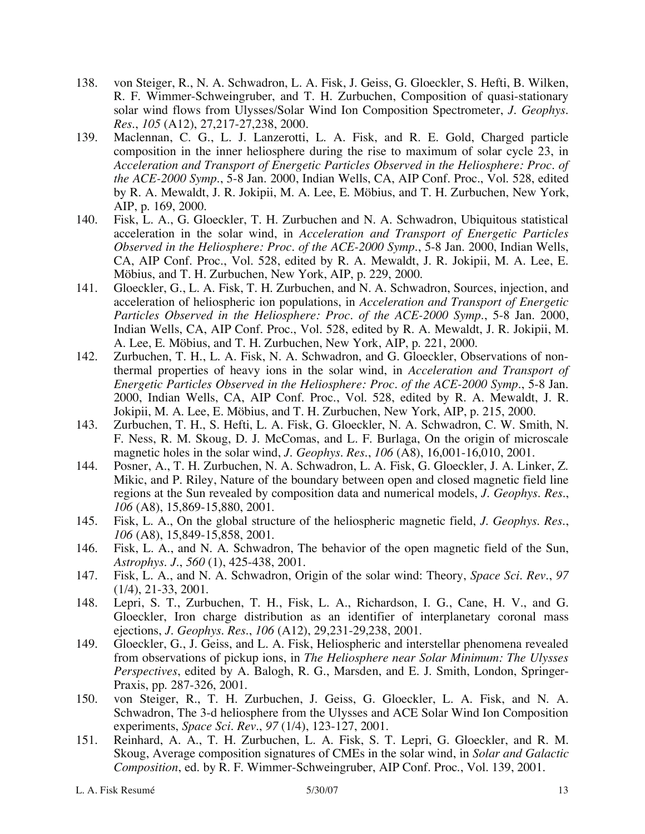- 138. von Steiger, R., N. A. Schwadron, L. A. Fisk, J. Geiss, G. Gloeckler, S. Hefti, B. Wilken, R. F. Wimmer-Schweingruber, and T. H. Zurbuchen, Composition of quasi-stationary solar wind flows from Ulysses/Solar Wind Ion Composition Spectrometer, *J. Geophys. Res.*, *105* (A12), 27,217-27,238, 2000.
- 139. Maclennan, C. G., L. J. Lanzerotti, L. A. Fisk, and R. E. Gold, Charged particle composition in the inner heliosphere during the rise to maximum of solar cycle 23, in *Acceleration and Transport of Energetic Particles Observed in the Heliosphere: Proc. of the ACE-2000 Symp.*, 5-8 Jan. 2000, Indian Wells, CA, AIP Conf. Proc., Vol. 528, edited by R. A. Mewaldt, J. R. Jokipii, M. A. Lee, E. Möbius, and T. H. Zurbuchen, New York, AIP, p. 169, 2000.
- 140. Fisk, L. A., G. Gloeckler, T. H. Zurbuchen and N. A. Schwadron, Ubiquitous statistical acceleration in the solar wind, in *Acceleration and Transport of Energetic Particles Observed in the Heliosphere: Proc. of the ACE-2000 Symp.*, 5-8 Jan. 2000, Indian Wells, CA, AIP Conf. Proc., Vol. 528, edited by R. A. Mewaldt, J. R. Jokipii, M. A. Lee, E. Möbius, and T. H. Zurbuchen, New York, AIP, p. 229, 2000.
- 141. Gloeckler, G., L. A. Fisk, T. H. Zurbuchen, and N. A. Schwadron, Sources, injection, and acceleration of heliospheric ion populations, in *Acceleration and Transport of Energetic Particles Observed in the Heliosphere: Proc. of the ACE-2000 Symp.*, 5-8 Jan. 2000, Indian Wells, CA, AIP Conf. Proc., Vol. 528, edited by R. A. Mewaldt, J. R. Jokipii, M. A. Lee, E. Möbius, and T. H. Zurbuchen, New York, AIP, p. 221, 2000.
- 142. Zurbuchen, T. H., L. A. Fisk, N. A. Schwadron, and G. Gloeckler, Observations of nonthermal properties of heavy ions in the solar wind, in *Acceleration and Transport of Energetic Particles Observed in the Heliosphere: Proc. of the ACE-2000 Symp.*, 5-8 Jan. 2000, Indian Wells, CA, AIP Conf. Proc., Vol. 528, edited by R. A. Mewaldt, J. R. Jokipii, M. A. Lee, E. Möbius, and T. H. Zurbuchen, New York, AIP, p. 215, 2000.
- 143. Zurbuchen, T. H., S. Hefti, L. A. Fisk, G. Gloeckler, N. A. Schwadron, C. W. Smith, N. F. Ness, R. M. Skoug, D. J. McComas, and L. F. Burlaga, On the origin of microscale magnetic holes in the solar wind, *J. Geophys. Res.*, *106* (A8), 16,001-16,010, 2001.
- 144. Posner, A., T. H. Zurbuchen, N. A. Schwadron, L. A. Fisk, G. Gloeckler, J. A. Linker, Z. Mikic, and P. Riley, Nature of the boundary between open and closed magnetic field line regions at the Sun revealed by composition data and numerical models, *J. Geophys. Res.*, *106* (A8), 15,869-15,880, 2001.
- 145. Fisk, L. A., On the global structure of the heliospheric magnetic field, *J. Geophys. Res.*, *106* (A8), 15,849-15,858, 2001.
- 146. Fisk, L. A., and N. A. Schwadron, The behavior of the open magnetic field of the Sun, *Astrophys. J.*, *560* (1), 425-438, 2001.
- 147. Fisk, L. A., and N. A. Schwadron, Origin of the solar wind: Theory, *Space Sci. Rev.*, *97* (1/4), 21-33, 2001.
- 148. Lepri, S. T., Zurbuchen, T. H., Fisk, L. A., Richardson, I. G., Cane, H. V., and G. Gloeckler, Iron charge distribution as an identifier of interplanetary coronal mass ejections, *J. Geophys. Res.*, *106* (A12), 29,231-29,238, 2001.
- 149. Gloeckler, G., J. Geiss, and L. A. Fisk, Heliospheric and interstellar phenomena revealed from observations of pickup ions, in *The Heliosphere near Solar Minimum: The Ulysses Perspectives*, edited by A. Balogh, R. G., Marsden, and E. J. Smith, London, Springer-Praxis, pp. 287-326, 2001.
- 150. von Steiger, R., T. H. Zurbuchen, J. Geiss, G. Gloeckler, L. A. Fisk, and N. A. Schwadron, The 3-d heliosphere from the Ulysses and ACE Solar Wind Ion Composition experiments, *Space Sci. Rev.*, *97* (1/4), 123-127, 2001.
- 151. Reinhard, A. A., T. H. Zurbuchen, L. A. Fisk, S. T. Lepri, G. Gloeckler, and R. M. Skoug, Average composition signatures of CMEs in the solar wind, in *Solar and Galactic Composition*, ed. by R. F. Wimmer-Schweingruber, AIP Conf. Proc., Vol. 139, 2001.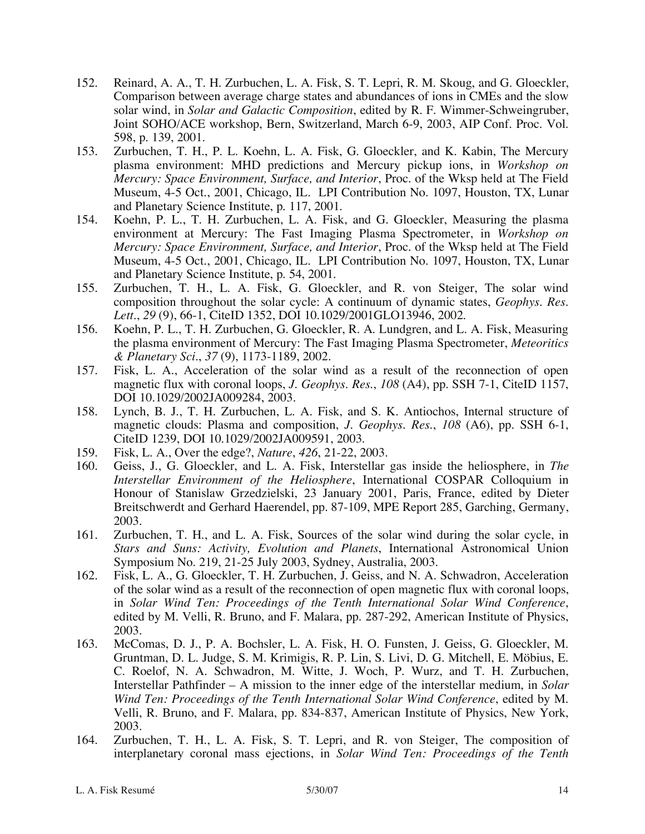- 152. Reinard, A. A., T. H. Zurbuchen, L. A. Fisk, S. T. Lepri, R. M. Skoug, and G. Gloeckler, Comparison between average charge states and abundances of ions in CMEs and the slow solar wind, in *Solar and Galactic Composition*, edited by R. F. Wimmer-Schweingruber, Joint SOHO/ACE workshop, Bern, Switzerland, March 6-9, 2003, AIP Conf. Proc. Vol. 598, p. 139, 2001.
- 153. Zurbuchen, T. H., P. L. Koehn, L. A. Fisk, G. Gloeckler, and K. Kabin, The Mercury plasma environment: MHD predictions and Mercury pickup ions, in *Workshop on Mercury: Space Environment, Surface, and Interior*, Proc. of the Wksp held at The Field Museum, 4-5 Oct., 2001, Chicago, IL. LPI Contribution No. 1097, Houston, TX, Lunar and Planetary Science Institute, p. 117, 2001.
- 154. Koehn, P. L., T. H. Zurbuchen, L. A. Fisk, and G. Gloeckler, Measuring the plasma environment at Mercury: The Fast Imaging Plasma Spectrometer, in *Workshop on Mercury: Space Environment, Surface, and Interior*, Proc. of the Wksp held at The Field Museum, 4-5 Oct., 2001, Chicago, IL. LPI Contribution No. 1097, Houston, TX, Lunar and Planetary Science Institute, p. 54, 2001.
- 155. Zurbuchen, T. H., L. A. Fisk, G. Gloeckler, and R. von Steiger, The solar wind composition throughout the solar cycle: A continuum of dynamic states, *Geophys. Res. Lett.*, *29* (9), 66-1, CiteID 1352, DOI 10.1029/2001GLO13946, 2002.
- 156. Koehn, P. L., T. H. Zurbuchen, G. Gloeckler, R. A. Lundgren, and L. A. Fisk, Measuring the plasma environment of Mercury: The Fast Imaging Plasma Spectrometer, *Meteoritics & Planetary Sci.*, *37* (9), 1173-1189, 2002.
- 157. Fisk, L. A., Acceleration of the solar wind as a result of the reconnection of open magnetic flux with coronal loops, *J. Geophys. Res.*, *108* (A4), pp. SSH 7-1, CiteID 1157, DOI 10.1029/2002JA009284, 2003.
- 158. Lynch, B. J., T. H. Zurbuchen, L. A. Fisk, and S. K. Antiochos, Internal structure of magnetic clouds: Plasma and composition, *J. Geophys. Res.*, *108* (A6), pp. SSH 6-1, CiteID 1239, DOI 10.1029/2002JA009591, 2003.
- 159. Fisk, L. A., Over the edge?, *Nature*, *426*, 21-22, 2003.
- 160. Geiss, J., G. Gloeckler, and L. A. Fisk, Interstellar gas inside the heliosphere, in *The Interstellar Environment of the Heliosphere*, International COSPAR Colloquium in Honour of Stanislaw Grzedzielski, 23 January 2001, Paris, France, edited by Dieter Breitschwerdt and Gerhard Haerendel, pp. 87-109, MPE Report 285, Garching, Germany, 2003.
- 161. Zurbuchen, T. H., and L. A. Fisk, Sources of the solar wind during the solar cycle, in *Stars and Suns: Activity, Evolution and Planets*, International Astronomical Union Symposium No. 219, 21-25 July 2003, Sydney, Australia, 2003.
- 162. Fisk, L. A., G. Gloeckler, T. H. Zurbuchen, J. Geiss, and N. A. Schwadron, Acceleration of the solar wind as a result of the reconnection of open magnetic flux with coronal loops, in *Solar Wind Ten: Proceedings of the Tenth International Solar Wind Conference*, edited by M. Velli, R. Bruno, and F. Malara, pp. 287-292, American Institute of Physics, 2003.
- 163. McComas, D. J., P. A. Bochsler, L. A. Fisk, H. O. Funsten, J. Geiss, G. Gloeckler, M. Gruntman, D. L. Judge, S. M. Krimigis, R. P. Lin, S. Livi, D. G. Mitchell, E. Möbius, E. C. Roelof, N. A. Schwadron, M. Witte, J. Woch, P. Wurz, and T. H. Zurbuchen, Interstellar Pathfinder – A mission to the inner edge of the interstellar medium, in *Solar Wind Ten: Proceedings of the Tenth International Solar Wind Conference*, edited by M. Velli, R. Bruno, and F. Malara, pp. 834-837, American Institute of Physics, New York, 2003.
- 164. Zurbuchen, T. H., L. A. Fisk, S. T. Lepri, and R. von Steiger, The composition of interplanetary coronal mass ejections, in *Solar Wind Ten: Proceedings of the Tenth*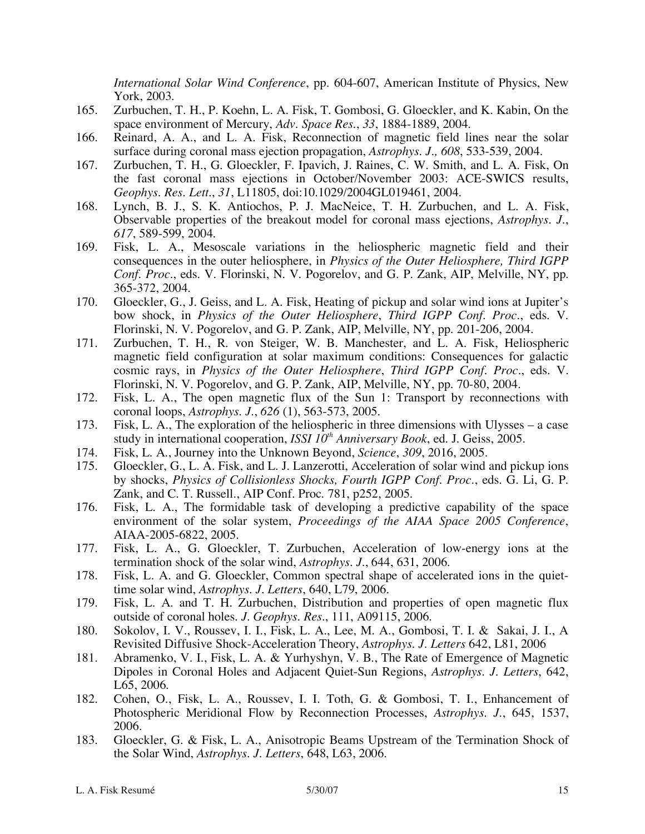*International Solar Wind Conference*, pp. 604-607, American Institute of Physics, New York, 2003.

- 165. Zurbuchen, T. H., P. Koehn, L. A. Fisk, T. Gombosi, G. Gloeckler, and K. Kabin, On the space environment of Mercury, *Adv. Space Res.*, *33*, 1884-1889, 2004.
- 166. Reinard, A. A., and L. A. Fisk, Reconnection of magnetic field lines near the solar surface during coronal mass ejection propagation, *Astrophys. J., 608*, 533-539, 2004.
- 167. Zurbuchen, T. H., G. Gloeckler, F. Ipavich, J. Raines, C. W. Smith, and L. A. Fisk, On the fast coronal mass ejections in October/November 2003: ACE-SWICS results, *Geophys. Res. Lett.*, *31*, L11805, doi:10.1029/2004GL019461, 2004.
- 168. Lynch, B. J., S. K. Antiochos, P. J. MacNeice, T. H. Zurbuchen, and L. A. Fisk, Observable properties of the breakout model for coronal mass ejections, *Astrophys. J.*, *617*, 589-599, 2004.
- 169. Fisk, L. A., Mesoscale variations in the heliospheric magnetic field and their consequences in the outer heliosphere, in *Physics of the Outer Heliosphere, Third IGPP Conf. Proc.*, eds. V. Florinski, N. V. Pogorelov, and G. P. Zank, AIP, Melville, NY, pp. 365-372, 2004.
- 170. Gloeckler, G., J. Geiss, and L. A. Fisk, Heating of pickup and solar wind ions at Jupiter's bow shock, in *Physics of the Outer Heliosphere*, *Third IGPP Conf. Proc.*, eds. V. Florinski, N. V. Pogorelov, and G. P. Zank, AIP, Melville, NY, pp. 201-206, 2004.
- 171. Zurbuchen, T. H., R. von Steiger, W. B. Manchester, and L. A. Fisk, Heliospheric magnetic field configuration at solar maximum conditions: Consequences for galactic cosmic rays, in *Physics of the Outer Heliosphere*, *Third IGPP Conf. Proc.*, eds. V. Florinski, N. V. Pogorelov, and G. P. Zank, AIP, Melville, NY, pp. 70-80, 2004.
- 172. Fisk, L. A., The open magnetic flux of the Sun 1: Transport by reconnections with coronal loops, *Astrophys. J.*, *626* (1), 563-573, 2005.
- 173. Fisk, L. A., The exploration of the heliospheric in three dimensions with Ulysses a case study in international cooperation, *ISSI 10<sup>th</sup> Anniversary Book*, ed. J. Geiss, 2005.
- 174. Fisk, L. A., Journey into the Unknown Beyond, *Science*, *309*, 2016, 2005.
- 175. Gloeckler, G., L. A. Fisk, and L. J. Lanzerotti, Acceleration of solar wind and pickup ions by shocks, *Physics of Collisionless Shocks, Fourth IGPP Conf. Proc.*, eds. G. Li, G. P. Zank, and C. T. Russell., AIP Conf. Proc. 781, p252, 2005.
- 176. Fisk, L. A., The formidable task of developing a predictive capability of the space environment of the solar system, *Proceedings of the AIAA Space 2005 Conference*, AIAA-2005-6822, 2005.
- 177. Fisk, L. A., G. Gloeckler, T. Zurbuchen, Acceleration of low-energy ions at the termination shock of the solar wind, *Astrophys. J.*, 644, 631, 2006.
- 178. Fisk, L. A. and G. Gloeckler, Common spectral shape of accelerated ions in the quiettime solar wind, *Astrophys. J. Letters*, 640, L79, 2006.
- 179. Fisk, L. A. and T. H. Zurbuchen, Distribution and properties of open magnetic flux outside of coronal holes. *J. Geophys. Res*., 111, A09115, 2006.
- 180. Sokolov, I. V., Roussev, I. I., Fisk, L. A., Lee, M. A., Gombosi, T. I. & Sakai, J. I., A Revisited Diffusive Shock-Acceleration Theory, *Astrophys. J. Letters* 642, L81, 2006
- 181. Abramenko, V. I., Fisk, L. A. & Yurhyshyn, V. B., The Rate of Emergence of Magnetic Dipoles in Coronal Holes and Adjacent Quiet-Sun Regions, *Astrophys. J. Letters*, 642, L65, 2006.
- 182. Cohen, O., Fisk, L. A., Roussev, I. I. Toth, G. & Gombosi, T. I., Enhancement of Photospheric Meridional Flow by Reconnection Processes, *Astrophys. J.*, 645, 1537, 2006.
- 183. Gloeckler, G. & Fisk, L. A., Anisotropic Beams Upstream of the Termination Shock of the Solar Wind, *Astrophys. J. Letters*, 648, L63, 2006.